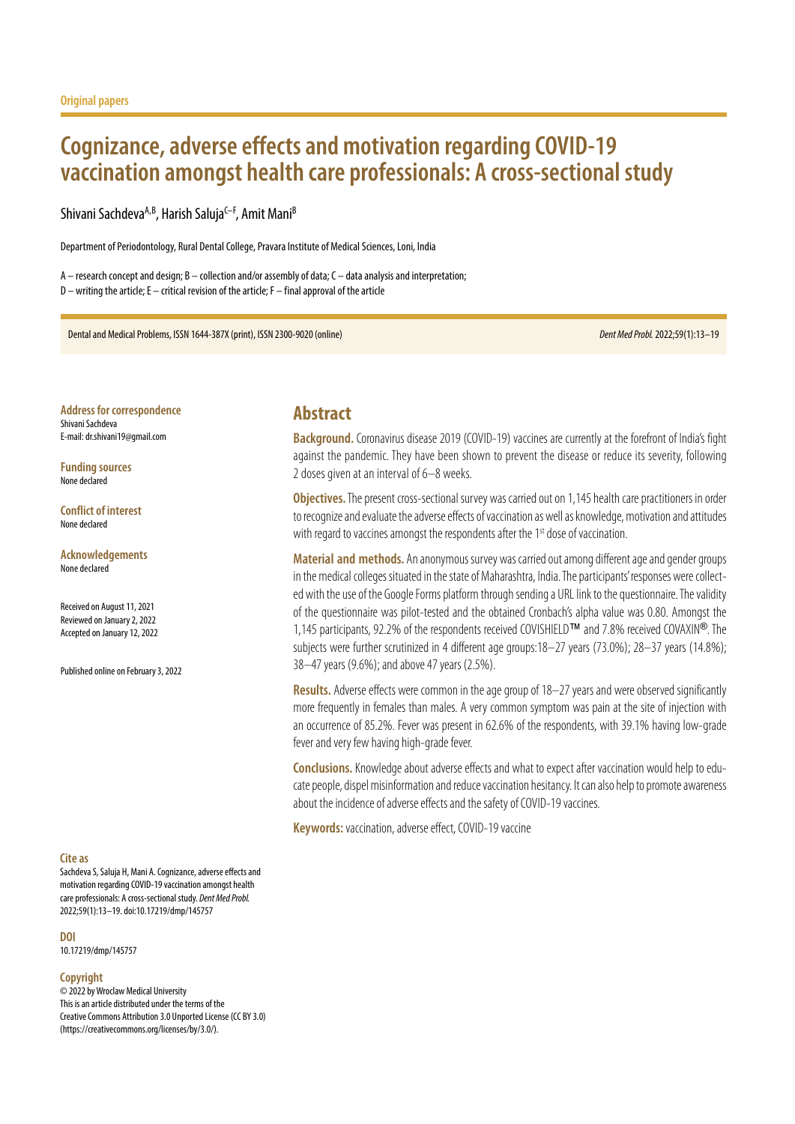# **Cognizance, adverse effects and motivation regarding COVID-19 vaccination amongst health care professionals: A cross-sectional study**

Shivani Sachdeva<sup>A,B</sup>, Harish Saluja<sup>C–F</sup>, Amit Mani<sup>B</sup>

Department of Periodontology, Rural Dental College, Pravara Institute of Medical Sciences, Loni, India

A – research concept and design; B – collection and/or assembly of data; C – data analysis and interpretation; D – writing the article; E – critical revision of the article; F – final approval of the article

Dental and Medical Problems, ISSN 1644-387X (print), ISSN 2300-9020 (online) *Dent Med Probl.* 2022;59(1):13–19

**Address for correspondence** Shivani Sachdeva E-mail: dr.shivani19@gmail.com

**Funding sources** None declared

**Conflict of interest** None declared

#### **Acknowledgements** None declared

Received on August 11, 2021 Reviewed on January 2, 2022 Accepted on January 12, 2022

Published online on February 3, 2022

### **Cite as**

Sachdeva S, Saluja H, Mani A. Cognizance, adverse effects and motivation regarding COVID-19 vaccination amongst health care professionals: A cross-sectional study. *Dent Med Probl.* 2022;59(1):13–19. doi:10.17219/dmp/145757

**DOI**

10.17219/dmp/145757

#### **Copyright**

© 2022 by Wroclaw Medical University This is an article distributed under the terms of the Creative Commons Attribution 3.0 Unported License (CC BY 3.0) [\(https://creativecommons.org/licenses/by/3.0/\)](https://creativecommons.org/licenses/by/3.0/).

### **Abstract**

**Background.** Coronavirus disease 2019 (COVID-19) vaccines are currently at the forefront of India's fight against the pandemic. They have been shown to prevent the disease or reduce its severity, following 2 doses given at an interval of 6–8 weeks.

**Objectives.** The present cross-sectional survey was carried out on 1,145 health care practitioners in order to recognize and evaluate the adverse effects of vaccination as well as knowledge, motivation and attitudes with regard to vaccines amongst the respondents after the 1<sup>st</sup> dose of vaccination.

**Material and methods.** An anonymous survey was carried out among different age and gender groups in the medical colleges situated in the state of Maharashtra, India. The participants' responses were collected with the use of the Google Forms platform through sending a URL link to the questionnaire. The validity of the questionnaire was pilot-tested and the obtained Cronbach's alpha value was 0.80. Amongst the 1,145 participants, 92.2% of the respondents received COVISHIELD™ and 7.8% received COVAXIN®. The subjects were further scrutinized in 4 different age groups:18–27 years (73.0%); 28–37 years (14.8%); 38–47 years (9.6%); and above 47 years (2.5%).

**Results.** Adverse effects were common in the age group of 18–27 years and were observed significantly more frequently in females than males. A very common symptom was pain at the site of injection with an occurrence of 85.2%. Fever was present in 62.6% of the respondents, with 39.1% having low-grade fever and very few having high-grade fever.

**Conclusions.**Knowledge about adverse effects and what to expect after vaccination would help to educate people, dispel misinformation and reduce vaccination hesitancy. It can also help to promote awareness about the incidence of adverse effects and the safety of COVID-19 vaccines.

**Keywords:** vaccination, adverse effect, COVID-19 vaccine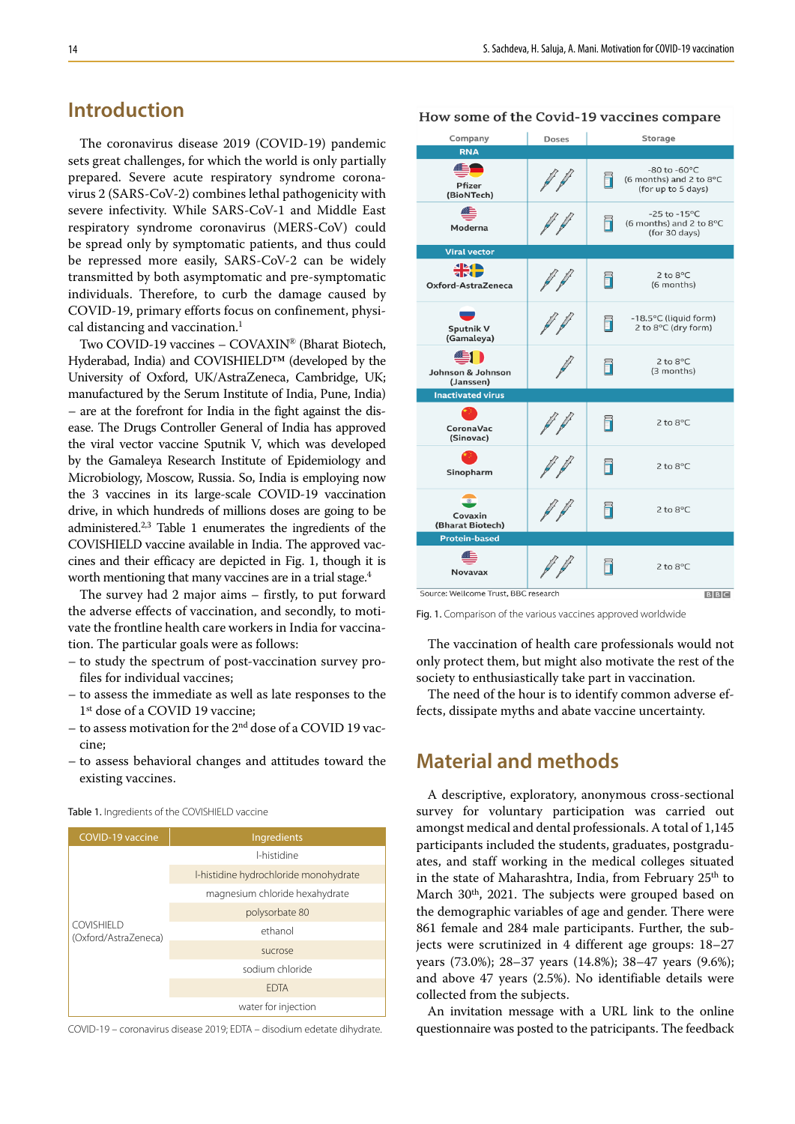# **Introduction**

The coronavirus disease 2019 (COVID-19) pandemic sets great challenges, for which the world is only partially prepared. Severe acute respiratory syndrome coronavirus 2 (SARS-CoV-2) combines lethal pathogenicity with severe infectivity. While SARS-CoV-1 and Middle East respiratory syndrome coronavirus (MERS-CoV) could be spread only by symptomatic patients, and thus could be repressed more easily, SARS-CoV-2 can be widely transmitted by both asymptomatic and pre-symptomatic individuals. Therefore, to curb the damage caused by COVID-19, primary efforts focus on confinement, physical distancing and vaccination.<sup>1</sup>

Two COVID-19 vaccines – COVAXIN® (Bharat Biotech, Hyderabad, India) and COVISHIELD™ (developed by the University of Oxford, UK/AstraZeneca, Cambridge, UK; manufactured by the Serum Institute of India, Pune, India) – are at the forefront for India in the fight against the disease. The Drugs Controller General of India has approved the viral vector vaccine Sputnik V, which was developed by the Gamaleya Research Institute of Epidemiology and Microbiology, Moscow, Russia. So, India is employing now the 3 vaccines in its large-scale COVID-19 vaccination drive, in which hundreds of millions doses are going to be administered.<sup>2,3</sup> Table 1 enumerates the ingredients of the COVISHIELD vaccine available in India. The approved vaccines and their efficacy are depicted in Fig. 1, though it is worth mentioning that many vaccines are in a trial stage.<sup>4</sup>

The survey had 2 major aims – firstly, to put forward the adverse effects of vaccination, and secondly, to motivate the frontline health care workers in India for vaccination. The particular goals were as follows:

- to study the spectrum of post-vaccination survey profiles for individual vaccines;
- to assess the immediate as well as late responses to the 1st dose of a COVID 19 vaccine;
- to assess motivation for the 2nd dose of a COVID 19 vaccine;
- to assess behavioral changes and attitudes toward the existing vaccines.

| <b>Table 1.</b> Ingredients of the COVISHIELD vaccine |  |
|-------------------------------------------------------|--|
|-------------------------------------------------------|--|



COVID-19 – coronavirus disease 2019; EDTA – disodium edetate dihydrate.

#### How some of the Covid-19 vaccines compare

| Company                              | <b>Doses</b> | Storage |                                                                                |  |  |
|--------------------------------------|--------------|---------|--------------------------------------------------------------------------------|--|--|
| <b>RNA</b>                           |              |         |                                                                                |  |  |
| Pfizer<br>(BioNTech)                 |              |         | $-80$ to $-60$ <sup>o</sup> C<br>(6 months) and 2 to 8°C<br>(for up to 5 days) |  |  |
| Moderna                              |              |         | -25 to -15 $^{\circ}$ C<br>(6 months) and 2 to 8°C<br>(for 30 days)            |  |  |
| <b>Viral vector</b>                  |              |         |                                                                                |  |  |
| 米!<br>Oxford-AstraZeneca             |              |         | $2$ to $8^{\circ}$ C<br>(6 months)                                             |  |  |
| Sputnik V<br>(Gamaleya)              |              |         | -18.5°C (liquid form)<br>2 to 8°C (dry form)                                   |  |  |
| Johnson & Johnson<br>(Janssen)       |              |         | 2 to 8°C<br>(3 months)                                                         |  |  |
| <b>Inactivated virus</b>             |              |         |                                                                                |  |  |
| CoronaVac<br>(Sinovac)               |              |         | $2$ to $8^{\circ}$ C                                                           |  |  |
| Sinopharm                            |              |         | 2 to 8°C                                                                       |  |  |
| Covaxin<br>(Bharat Biotech)          |              |         | 2 to 8°C                                                                       |  |  |
| <b>Protein-based</b>                 |              |         |                                                                                |  |  |
| <b>Novavax</b>                       |              |         | $2$ to $8^{\circ}$ C                                                           |  |  |
| Source: Wellcome Trust, BBC research |              |         | B B C                                                                          |  |  |

Fig. 1. Comparison of the various vaccines approved worldwide

The vaccination of health care professionals would not only protect them, but might also motivate the rest of the society to enthusiastically take part in vaccination.

The need of the hour is to identify common adverse effects, dissipate myths and abate vaccine uncertainty.

# **Material and methods**

A descriptive, exploratory, anonymous cross-sectional survey for voluntary participation was carried out amongst medical and dental professionals. A total of 1,145 participants included the students, graduates, postgraduates, and staff working in the medical colleges situated in the state of Maharashtra, India, from February 25<sup>th</sup> to March  $30<sup>th</sup>$ , 2021. The subjects were grouped based on the demographic variables of age and gender. There were 861 female and 284 male participants. Further, the subjects were scrutinized in 4 different age groups: 18–27 years (73.0%); 28–37 years (14.8%); 38–47 years (9.6%); and above 47 years (2.5%). No identifiable details were collected from the subjects.

An invitation message with a URL link to the online questionnaire was posted to the patricipants. The feedback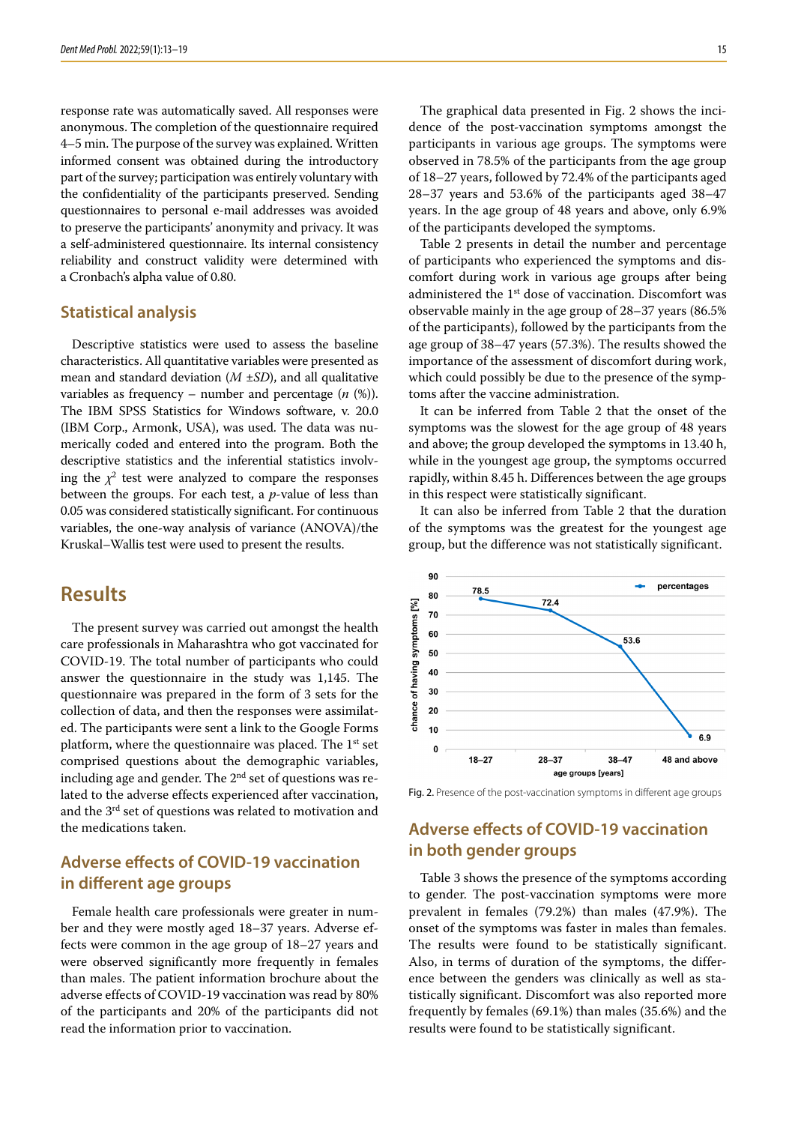response rate was automatically saved. All responses were anonymous. The completion of the questionnaire required 4–5 min. The purpose of the survey was explained. Written informed consent was obtained during the introductory part of the survey; participation was entirely voluntary with the confidentiality of the participants preserved. Sending questionnaires to personal e-mail addresses was avoided to preserve the participants' anonymity and privacy. It was a self-administered questionnaire. Its internal consistency reliability and construct validity were determined with a Cronbach's alpha value of 0.80.

### **Statistical analysis**

Descriptive statistics were used to assess the baseline characteristics. All quantitative variables were presented as mean and standard deviation (*M* ±*SD*), and all qualitative variables as frequency – number and percentage (*n* (%)). The IBM SPSS Statistics for Windows software, v. 20.0 (IBM Corp., Armonk, USA), was used. The data was numerically coded and entered into the program. Both the descriptive statistics and the inferential statistics involving the  $\chi^2$  test were analyzed to compare the responses between the groups. For each test, a *p*-value of less than 0.05 was considered statistically significant. For continuous variables, the one-way analysis of variance (ANOVA)/the Kruskal–Wallis test were used to present the results.

# **Results**

The present survey was carried out amongst the health care professionals in Maharashtra who got vaccinated for COVID-19. The total number of participants who could answer the questionnaire in the study was 1,145. The questionnaire was prepared in the form of 3 sets for the collection of data, and then the responses were assimilated. The participants were sent a link to the Google Forms platform, where the questionnaire was placed. The  $1<sup>st</sup>$  set comprised questions about the demographic variables, including age and gender. The  $2<sup>nd</sup>$  set of questions was related to the adverse effects experienced after vaccination, and the 3rd set of questions was related to motivation and the medications taken.

# **Adverse effects of COVID-19 vaccination in different age groups**

Female health care professionals were greater in number and they were mostly aged 18–37 years. Adverse effects were common in the age group of 18–27 years and were observed significantly more frequently in females than males. The patient information brochure about the adverse effects of COVID-19 vaccination was read by 80% of the participants and 20% of the participants did not read the information prior to vaccination.

The graphical data presented in Fig. 2 shows the incidence of the post-vaccination symptoms amongst the participants in various age groups. The symptoms were observed in 78.5% of the participants from the age group of 18–27 years, followed by 72.4% of the participants aged 28–37 years and 53.6% of the participants aged 38–47 years. In the age group of 48 years and above, only 6.9% of the participants developed the symptoms.

Table 2 presents in detail the number and percentage of participants who experienced the symptoms and discomfort during work in various age groups after being administered the 1<sup>st</sup> dose of vaccination. Discomfort was observable mainly in the age group of 28–37 years (86.5% of the participants), followed by the participants from the age group of 38–47 years (57.3%). The results showed the importance of the assessment of discomfort during work, which could possibly be due to the presence of the symptoms after the vaccine administration.

It can be inferred from Table 2 that the onset of the symptoms was the slowest for the age group of 48 years and above; the group developed the symptoms in 13.40 h, while in the youngest age group, the symptoms occurred rapidly, within 8.45 h. Differences between the age groups in this respect were statistically significant.

It can also be inferred from Table 2 that the duration of the symptoms was the greatest for the youngest age group, but the difference was not statistically significant.



Fig. 2. Presence of the post-vaccination symptoms in different age groups

# **Adverse effects of COVID-19 vaccination in both gender groups**

Table 3 shows the presence of the symptoms according to gender. The post-vaccination symptoms were more prevalent in females (79.2%) than males (47.9%). The onset of the symptoms was faster in males than females. The results were found to be statistically significant. Also, in terms of duration of the symptoms, the difference between the genders was clinically as well as statistically significant. Discomfort was also reported more frequently by females (69.1%) than males (35.6%) and the results were found to be statistically significant.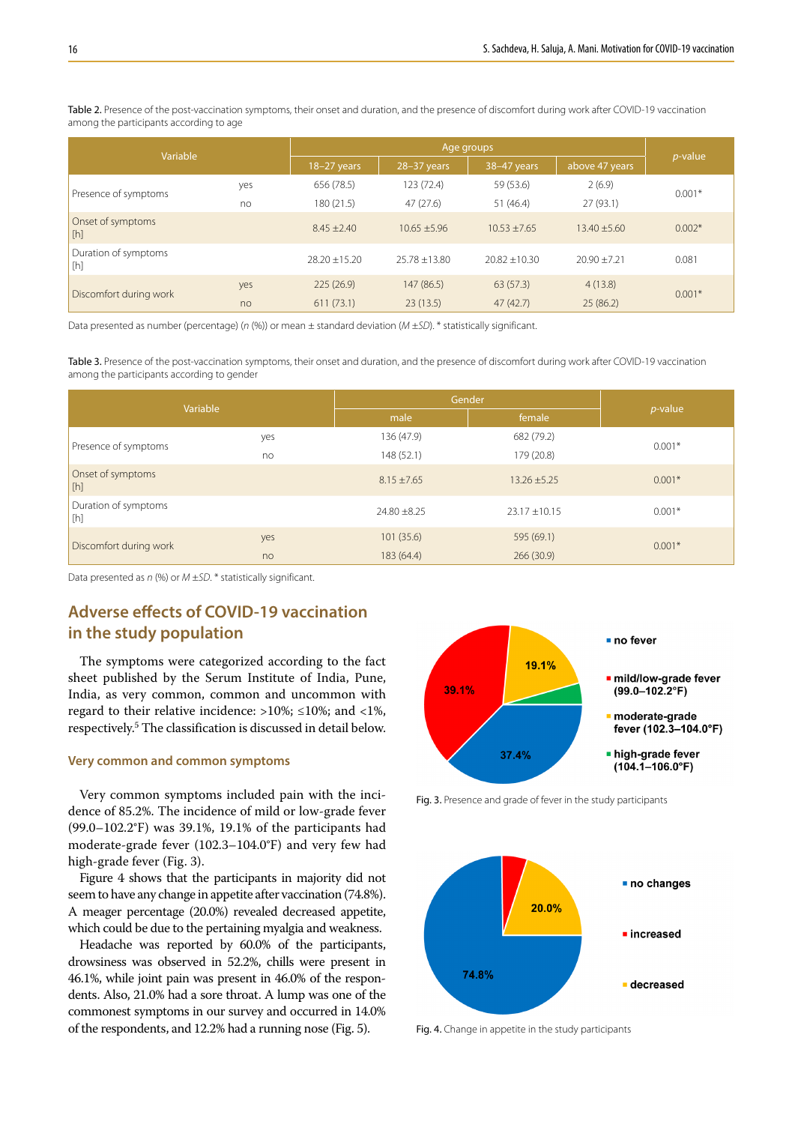Table 2. Presence of the post-vaccination symptoms, their onset and duration, and the presence of discomfort during work after COVID-19 vaccination among the participants according to age

| Variable                                                                                                                                                                                                                                                      |     | Age groups        |                   |                   |                  |                 |
|---------------------------------------------------------------------------------------------------------------------------------------------------------------------------------------------------------------------------------------------------------------|-----|-------------------|-------------------|-------------------|------------------|-----------------|
|                                                                                                                                                                                                                                                               |     | $18-27$ years     | 28-37 years       | 38-47 years       | above 47 years   | <i>p</i> -value |
| Presence of symptoms                                                                                                                                                                                                                                          | yes | 656 (78.5)        | 123 (72.4)        | 59 (53.6)         | 2(6.9)           |                 |
|                                                                                                                                                                                                                                                               | no  | 180(21.5)         | 47(27.6)          | 51(46.4)          | 27(93.1)         | $0.001*$        |
| Onset of symptoms<br>[h]                                                                                                                                                                                                                                      |     | $8.45 \pm 2.40$   | $10.65 \pm 5.96$  | $10.53 \pm 7.65$  | $13.40 \pm 5.60$ | $0.002*$        |
| Duration of symptoms<br>$[h] \centering% \includegraphics[width=1.0\textwidth]{Figures/PN1.png} \caption{The 3D (black) model for the $L^2$-error of the estimators in the left and right. The left and right is the same as in the right.} \label{fig:TPN1}$ |     | $28.20 \pm 15.20$ | $25.78 \pm 13.80$ | $20.82 \pm 10.30$ | $20.90 + 7.21$   | 0.081           |
| Discomfort during work                                                                                                                                                                                                                                        | yes | 225(26.9)         | 147(86.5)         | 63(57.3)          | 4(13.8)          |                 |
|                                                                                                                                                                                                                                                               | no  | 611(73.1)         | 23(13.5)          | 47(42.7)          | 25(86.2)         | $0.001*$        |

Data presented as number (percentage) (*n* (%)) or mean ± standard deviation (*M* ±*SD*). \* statistically significant.

Table 3. Presence of the post-vaccination symptoms, their onset and duration, and the presence of discomfort during work after COVID-19 vaccination among the participants according to gender

| Variable                    |     | Gender           | $p$ -value        |          |
|-----------------------------|-----|------------------|-------------------|----------|
|                             |     | male             | female            |          |
| Presence of symptoms        | yes | 136 (47.9)       | 682 (79.2)        |          |
|                             | no  | 148 (52.1)       | 179 (20.8)        | $0.001*$ |
| Onset of symptoms<br>[h]    |     | $8.15 \pm 7.65$  | $13.26 \pm 5.25$  | $0.001*$ |
| Duration of symptoms<br>[h] |     | $24.80 \pm 8.25$ | $23.17 \pm 10.15$ | $0.001*$ |
| Discomfort during work      | yes | 101(35.6)        | 595 (69.1)        |          |
|                             | no  | 183 (64.4)       | 266(30.9)         | $0.001*$ |

Data presented as *n* (%) or *M* ±*SD*. \* statistically significant.

# **Adverse effects of COVID-19 vaccination in the study population**

The symptoms were categorized according to the fact sheet published by the Serum Institute of India, Pune, India, as very common, common and uncommon with regard to their relative incidence: >10%; ≤10%; and <1%, respectively.5 The classification is discussed in detail below.

#### **Very common and common symptoms**

Very common symptoms included pain with the incidence of 85.2%. The incidence of mild or low-grade fever (99.0–102.2°F) was 39.1%, 19.1% of the participants had moderate-grade fever (102.3–104.0°F) and very few had high-grade fever (Fig. 3).

Figure 4 shows that the participants in majority did not seem to have any change in appetite after vaccination (74.8%). A meager percentage (20.0%) revealed decreased appetite, which could be due to the pertaining myalgia and weakness.

Headache was reported by 60.0% of the participants, drowsiness was observed in 52.2%, chills were present in 46.1%, while joint pain was present in 46.0% of the respondents. Also, 21.0% had a sore throat. A lump was one of the commonest symptoms in our survey and occurred in 14.0% of the respondents, and 12.2% had a running nose (Fig. 5).



Fig. 3. Presence and grade of fever in the study participants



Fig. 4. Change in appetite in the study participants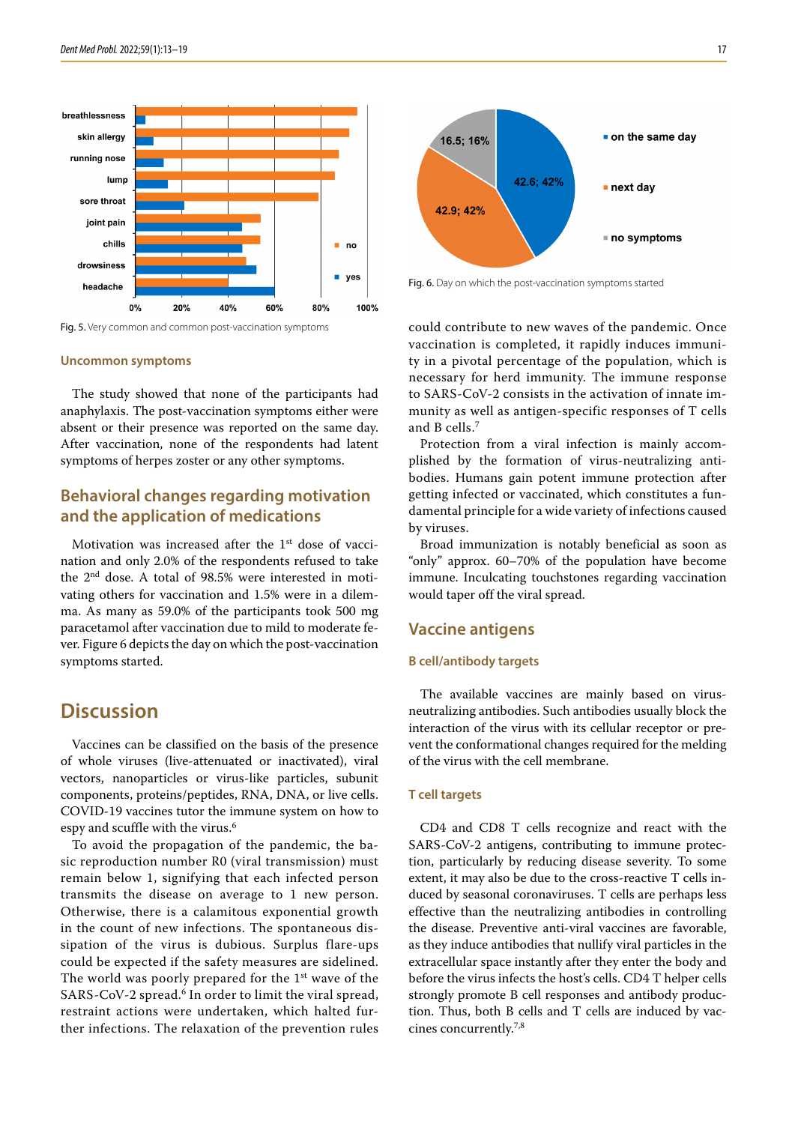

Fig. 5. Very common and common post-vaccination symptoms

#### **Uncommon symptoms**

The study showed that none of the participants had anaphylaxis. The post-vaccination symptoms either were absent or their presence was reported on the same day. After vaccination, none of the respondents had latent symptoms of herpes zoster or any other symptoms.

## **Behavioral changes regarding motivation and the application of medications**

Motivation was increased after the 1st dose of vaccination and only 2.0% of the respondents refused to take the 2nd dose. A total of 98.5% were interested in motivating others for vaccination and 1.5% were in a dilemma. As many as 59.0% of the participants took 500 mg paracetamol after vaccination due to mild to moderate fever. Figure 6 depicts the day on which the post-vaccination symptoms started.

# **Discussion**

Vaccines can be classified on the basis of the presence of whole viruses (live-attenuated or inactivated), viral vectors, nanoparticles or virus-like particles, subunit components, proteins/peptides, RNA, DNA, or live cells. COVID-19 vaccines tutor the immune system on how to espy and scuffle with the virus.<sup>6</sup>

To avoid the propagation of the pandemic, the basic reproduction number R0 (viral transmission) must remain below 1, signifying that each infected person transmits the disease on average to 1 new person. Otherwise, there is a calamitous exponential growth in the count of new infections. The spontaneous dissipation of the virus is dubious. Surplus flare-ups could be expected if the safety measures are sidelined. The world was poorly prepared for the  $1<sup>st</sup>$  wave of the SARS-CoV-2 spread.<sup>6</sup> In order to limit the viral spread, restraint actions were undertaken, which halted further infections. The relaxation of the prevention rules



Fig. 6. Day on which the post-vaccination symptoms started

could contribute to new waves of the pandemic. Once vaccination is completed, it rapidly induces immunity in a pivotal percentage of the population, which is necessary for herd immunity. The immune response to SARS-CoV-2 consists in the activation of innate immunity as well as antigen-specific responses of T cells and B cells.<sup>7</sup>

Protection from a viral infection is mainly accomplished by the formation of virus-neutralizing antibodies. Humans gain potent immune protection after getting infected or vaccinated, which constitutes a fundamental principle for a wide variety of infections caused by viruses.

Broad immunization is notably beneficial as soon as "only" approx. 60–70% of the population have become immune. Inculcating touchstones regarding vaccination would taper off the viral spread.

### **Vaccine antigens**

#### **B cell/antibody targets**

The available vaccines are mainly based on virusneutralizing antibodies. Such antibodies usually block the interaction of the virus with its cellular receptor or prevent the conformational changes required for the melding of the virus with the cell membrane.

### **T cell targets**

CD4 and CD8 T cells recognize and react with the SARS-CoV-2 antigens, contributing to immune protection, particularly by reducing disease severity. To some extent, it may also be due to the cross-reactive T cells induced by seasonal coronaviruses. T cells are perhaps less effective than the neutralizing antibodies in controlling the disease. Preventive anti-viral vaccines are favorable, as they induce antibodies that nullify viral particles in the extracellular space instantly after they enter the body and before the virus infects the host's cells. CD4 T helper cells strongly promote B cell responses and antibody production. Thus, both B cells and T cells are induced by vaccines concurrently.7,8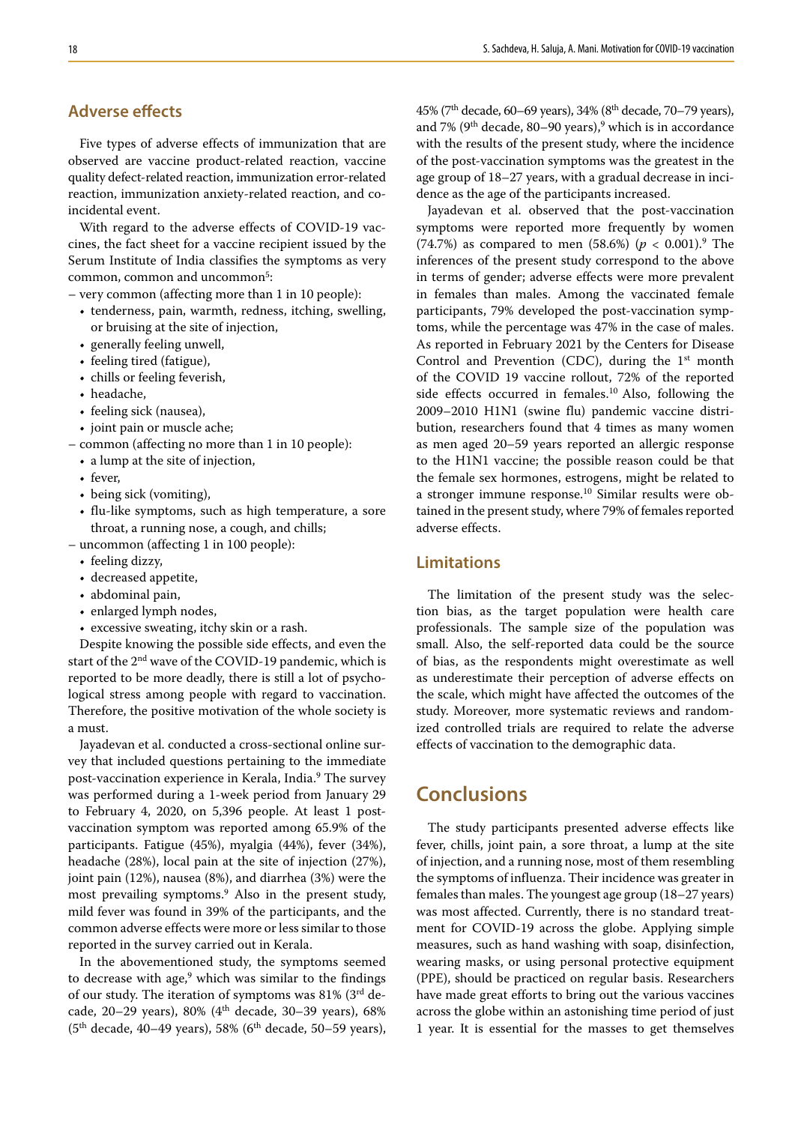# **Adverse effects**

Five types of adverse effects of immunization that are observed are vaccine product-related reaction, vaccine quality defect-related reaction, immunization error-related reaction, immunization anxiety-related reaction, and coincidental event.

With regard to the adverse effects of COVID-19 vaccines, the fact sheet for a vaccine recipient issued by the Serum Institute of India classifies the symptoms as very common, common and uncommon<sup>5</sup>:

– very common (affecting more than 1 in 10 people):

- tenderness, pain, warmth, redness, itching, swelling, or bruising at the site of injection,
- generally feeling unwell,
- feeling tired (fatigue),
- chills or feeling feverish,
- headache,
- feeling sick (nausea),
- joint pain or muscle ache;
- common (affecting no more than 1 in 10 people):
	- a lump at the site of injection,
	- fever,
	- being sick (vomiting),
	- flu-like symptoms, such as high temperature, a sore throat, a running nose, a cough, and chills;
- uncommon (affecting 1 in 100 people):
	- feeling dizzy,
	- decreased appetite,
	- abdominal pain,
	- enlarged lymph nodes,
	- excessive sweating, itchy skin or a rash.

Despite knowing the possible side effects, and even the start of the 2<sup>nd</sup> wave of the COVID-19 pandemic, which is reported to be more deadly, there is still a lot of psychological stress among people with regard to vaccination. Therefore, the positive motivation of the whole society is a must.

Jayadevan et al. conducted a cross-sectional online survey that included questions pertaining to the immediate post-vaccination experience in Kerala, India.<sup>9</sup> The survey was performed during a 1-week period from January 29 to February 4, 2020, on 5,396 people. At least 1 postvaccination symptom was reported among 65.9% of the participants. Fatigue (45%), myalgia (44%), fever (34%), headache (28%), local pain at the site of injection (27%), joint pain (12%), nausea (8%), and diarrhea (3%) were the most prevailing symptoms.9 Also in the present study, mild fever was found in 39% of the participants, and the common adverse effects were more or less similar to those reported in the survey carried out in Kerala.

In the abovementioned study, the symptoms seemed to decrease with age,<sup>9</sup> which was similar to the findings of our study. The iteration of symptoms was 81% (3rd decade, 20–29 years), 80% ( $4<sup>th</sup>$  decade, 30–39 years), 68%  $(5<sup>th</sup> decade, 40–49 years), 58% (6<sup>th</sup> decade, 50–59 years),$ 

45% (7th decade, 60–69 years), 34% (8th decade, 70–79 years), and 7% (9<sup>th</sup> decade, 80–90 years),<sup>9</sup> which is in accordance with the results of the present study, where the incidence of the post-vaccination symptoms was the greatest in the age group of 18–27 years, with a gradual decrease in incidence as the age of the participants increased.

Jayadevan et al. observed that the post-vaccination symptoms were reported more frequently by women (74.7%) as compared to men (58.6%)  $(p < 0.001)$ .<sup>9</sup> The inferences of the present study correspond to the above in terms of gender; adverse effects were more prevalent in females than males. Among the vaccinated female participants, 79% developed the post-vaccination symptoms, while the percentage was 47% in the case of males. As reported in February 2021 by the Centers for Disease Control and Prevention (CDC), during the  $1<sup>st</sup>$  month of the COVID 19 vaccine rollout, 72% of the reported side effects occurred in females.<sup>10</sup> Also, following the 2009–2010 H1N1 (swine flu) pandemic vaccine distribution, researchers found that 4 times as many women as men aged 20–59 years reported an allergic response to the H1N1 vaccine; the possible reason could be that the female sex hormones, estrogens, might be related to a stronger immune response.10 Similar results were obtained in the present study, where 79% of females reported adverse effects.

### **Limitations**

The limitation of the present study was the selection bias, as the target population were health care professionals. The sample size of the population was small. Also, the self-reported data could be the source of bias, as the respondents might overestimate as well as underestimate their perception of adverse effects on the scale, which might have affected the outcomes of the study. Moreover, more systematic reviews and randomized controlled trials are required to relate the adverse effects of vaccination to the demographic data.

# **Conclusions**

The study participants presented adverse effects like fever, chills, joint pain, a sore throat, a lump at the site of injection, and a running nose, most of them resembling the symptoms of influenza. Their incidence was greater in females than males. The youngest age group (18–27 years) was most affected. Currently, there is no standard treatment for COVID-19 across the globe. Applying simple measures, such as hand washing with soap, disinfection, wearing masks, or using personal protective equipment (PPE), should be practiced on regular basis. Researchers have made great efforts to bring out the various vaccines across the globe within an astonishing time period of just 1 year. It is essential for the masses to get themselves